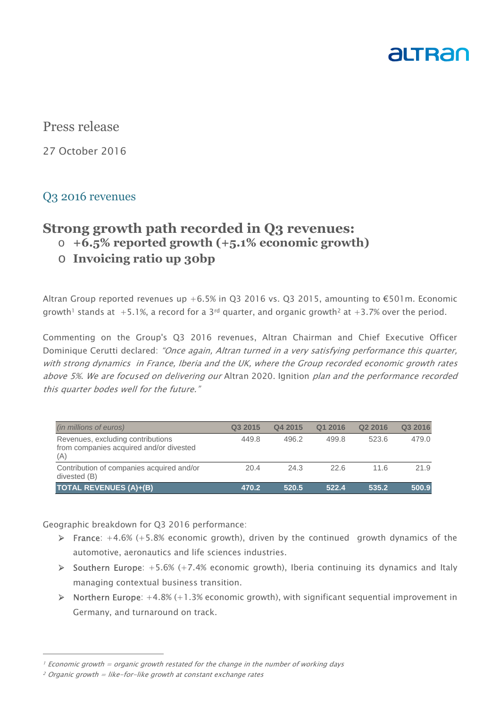

### Press release

27 October 2016

#### Q3 2016 revenues

# **Strong growth path recorded in Q3 revenues:**

- o **+6.5% reported growth (+5.1% economic growth)**
- o **Invoicing ratio up 30bp**

Altran Group reported revenues up +6.5% in Q3 2016 vs. Q3 2015, amounting to  $\epsilon$ 501m. Economic growth<sup>1</sup> stands at  $+5.1\%$ , a record for a 3<sup>rd</sup> quarter, and organic growth<sup>2</sup> at  $+3.7\%$  over the period.

Commenting on the Group's Q3 2016 revenues, Altran Chairman and Chief Executive Officer Dominique Cerutti declared: "Once again, Altran turned in a very satisfying performance this quarter, with strong dynamics in France, Iberia and the UK, where the Group recorded economic growth rates above 5%. We are focused on delivering our Altran 2020. Ignition plan and the performance recorded this quarter bodes well for the future."

| (in millions of euros)                                                              | Q3 2015 | Q4 2015 | Q1 2016 | Q <sub>2</sub> 2016 | Q3 2016 |
|-------------------------------------------------------------------------------------|---------|---------|---------|---------------------|---------|
| Revenues, excluding contributions<br>from companies acquired and/or divested<br>(A) | 449.8   | 496.2   | 499.8   | 523.6               | 479.0   |
| Contribution of companies acquired and/or<br>divested (B)                           | 20.4    | 24.3    | 22.6    | 11.6                | 21.9    |
| <b>TOTAL REVENUES (A)+(B)</b>                                                       | 470.2   | 520.5   | 522.4   | 535.2               | 500.9   |

Geographic breakdown for Q3 2016 performance:

- **France:**  $+4.6\%$  ( $+5.8\%$  economic growth), driven by the continued growth dynamics of the automotive, aeronautics and life sciences industries.
- $\triangleright$  Southern Europe: +5.6% (+7.4% economic growth), Iberia continuing its dynamics and Italy managing contextual business transition.
- $\triangleright$  Northern Europe:  $+4.8\%$  (+1.3% economic growth), with significant sequential improvement in Germany, and turnaround on track.

 $\overline{a}$ 

 $1$  Economic growth = organic growth restated for the change in the number of working days

 $2$  Organic growth = like-for-like growth at constant exchange rates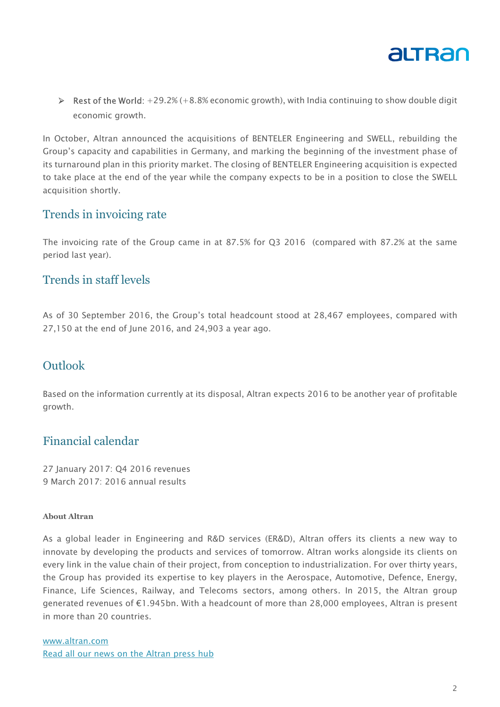

 $\triangleright$  Rest of the World: +29.2% (+8.8% economic growth), with India continuing to show double digit economic growth.

In October, Altran announced the acquisitions of BENTELER Engineering and SWELL, rebuilding the Group's capacity and capabilities in Germany, and marking the beginning of the investment phase of its turnaround plan in this priority market. The closing of BENTELER Engineering acquisition is expected to take place at the end of the year while the company expects to be in a position to close the SWELL acquisition shortly.

#### Trends in invoicing rate

The invoicing rate of the Group came in at 87.5% for Q3 2016 (compared with 87.2% at the same period last year).

#### Trends in staff levels

As of 30 September 2016, the Group's total headcount stood at 28,467 employees, compared with 27,150 at the end of June 2016, and 24,903 a year ago.

## Outlook

Based on the information currently at its disposal, Altran expects 2016 to be another year of profitable growth.

## Financial calendar

27 January 2017: Q4 2016 revenues 9 March 2017: 2016 annual results

#### **About Altran**

As a global leader in Engineering and R&D services (ER&D), Altran offers its clients a new way to innovate by developing the products and services of tomorrow. Altran works alongside its clients on every link in the value chain of their project, from conception to industrialization. For over thirty years, the Group has provided its expertise to key players in the Aerospace, Automotive, Defence, Energy, Finance, Life Sciences, Railway, and Telecoms sectors, among others. In 2015, the Altran group generated revenues of €1.945bn. With a headcount of more than 28,000 employees, Altran is present in more than 20 countries.

www.altran.com Read all our news on the Altran press hub